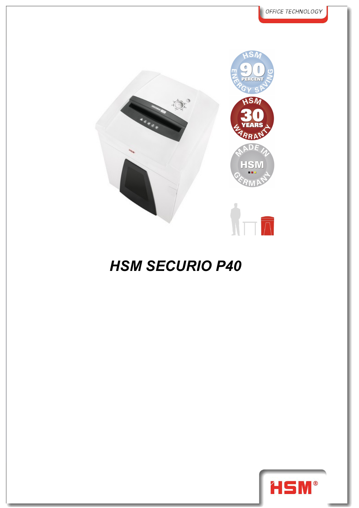

## *HSM SECURIO P40*

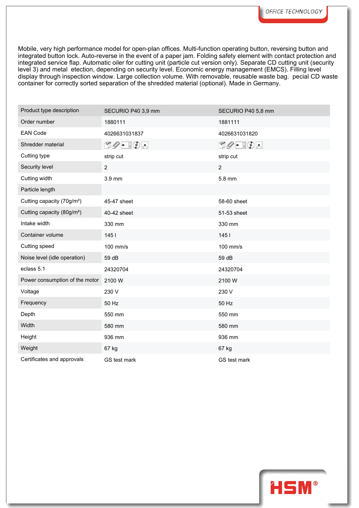Mobile, very high performance model for open-plan offices. Multi-function operating button, reversing button and integrated button lock. Auto-reverse in the event of a paper jam. Folding safety element with contact protection and integrated service flap. Automatic oiler for cutting unit (particle cut version only). Separate CD cutting unit (security level 3) and metal etection, depending on security level. Economic energy management (EMCS). Filling level display through inspection window. Large collection volume. With removable, reusable waste bag. pecial CD waste container for correctly sorted separation of the shredded material (optional). Made in Germany.

| Product type description               | SECURIO P40 3,9 mm                                                                                                                                                                                                                                                                                                                                  | SECURIO P40 5,8 mm                        |
|----------------------------------------|-----------------------------------------------------------------------------------------------------------------------------------------------------------------------------------------------------------------------------------------------------------------------------------------------------------------------------------------------------|-------------------------------------------|
| Order number                           | 1880111                                                                                                                                                                                                                                                                                                                                             | 1881111                                   |
| <b>EAN Code</b>                        | 4026631031837                                                                                                                                                                                                                                                                                                                                       | 4026631031820                             |
| Shredder material                      | $\begin{picture}(15,14) \put(0,0){\line(1,0){15}} \put(15,0){\line(1,0){15}} \put(15,0){\line(1,0){15}} \put(15,0){\line(1,0){15}} \put(15,0){\line(1,0){15}} \put(15,0){\line(1,0){15}} \put(15,0){\line(1,0){15}} \put(15,0){\line(1,0){15}} \put(15,0){\line(1,0){15}} \put(15,0){\line(1,0){15}} \put(15,0){\line(1,0){15}} \put(15,0){\line(1$ | $\Box \oslash \cdot \ \Box \oslash \cdot$ |
| Cutting type                           | strip cut                                                                                                                                                                                                                                                                                                                                           | strip cut                                 |
| Security level                         | $\overline{2}$                                                                                                                                                                                                                                                                                                                                      | $\overline{2}$                            |
| Cutting width                          | 3.9 mm                                                                                                                                                                                                                                                                                                                                              | 5.8 mm                                    |
| Particle length                        |                                                                                                                                                                                                                                                                                                                                                     |                                           |
| Cutting capacity (70g/m <sup>2</sup> ) | 45-47 sheet                                                                                                                                                                                                                                                                                                                                         | 58-60 sheet                               |
| Cutting capacity (80g/m <sup>2</sup> ) | 40-42 sheet                                                                                                                                                                                                                                                                                                                                         | 51-53 sheet                               |
| Intake width                           | 330 mm                                                                                                                                                                                                                                                                                                                                              | 330 mm                                    |
| Container volume                       | 145                                                                                                                                                                                                                                                                                                                                                 | 1451                                      |
| Cutting speed                          | 100 mm/s                                                                                                                                                                                                                                                                                                                                            | 100 mm/s                                  |
| Noise level (idle operation)           | 59 dB                                                                                                                                                                                                                                                                                                                                               | 59 dB                                     |
| eclass 5.1                             | 24320704                                                                                                                                                                                                                                                                                                                                            | 24320704                                  |
| Power consumption of the motor         | 2100 W                                                                                                                                                                                                                                                                                                                                              | 2100W                                     |
| Voltage                                | 230 V                                                                                                                                                                                                                                                                                                                                               | 230 V                                     |
| Frequency                              | 50 Hz                                                                                                                                                                                                                                                                                                                                               | 50 Hz                                     |
| Depth                                  | 550 mm                                                                                                                                                                                                                                                                                                                                              | 550 mm                                    |
| Width                                  | 580 mm                                                                                                                                                                                                                                                                                                                                              | 580 mm                                    |
| Height                                 | 936 mm                                                                                                                                                                                                                                                                                                                                              | 936 mm                                    |
| Weight                                 | 67 kg                                                                                                                                                                                                                                                                                                                                               | 67 kg                                     |
| Certificates and approvals             | GS test mark                                                                                                                                                                                                                                                                                                                                        | GS test mark                              |

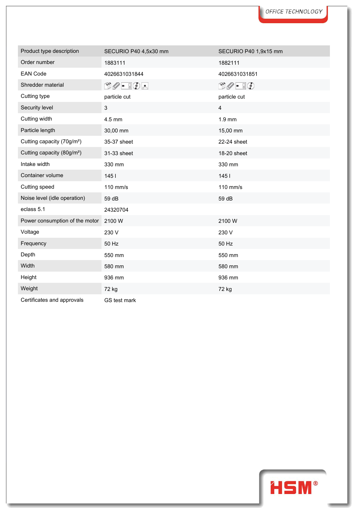| Product type description               | SECURIO P40 4,5x30 mm                              | SECURIO P40 1,9x15 mm         |
|----------------------------------------|----------------------------------------------------|-------------------------------|
| Order number                           | 1883111                                            | 1882111                       |
| <b>EAN Code</b>                        | 4026631031844                                      | 4026631031851                 |
| Shredder material                      | $\mathbb{D}\mathscr{O}$ - $\mathbb{I}\mathbb{O}$ - | $\Box \oslash - \Box \oslash$ |
| Cutting type                           | particle cut                                       | particle cut                  |
| Security level                         | 3                                                  | 4                             |
| Cutting width                          | 4.5 mm                                             | 1.9 mm                        |
| Particle length                        | 30,00 mm                                           | 15,00 mm                      |
| Cutting capacity (70g/m <sup>2</sup> ) | 35-37 sheet                                        | 22-24 sheet                   |
| Cutting capacity (80g/m <sup>2</sup> ) | 31-33 sheet                                        | 18-20 sheet                   |
| Intake width                           | 330 mm                                             | 330 mm                        |
| Container volume                       | 1451                                               | 1451                          |
| Cutting speed                          | 110 mm/s                                           | 110 mm/s                      |
| Noise level (idle operation)           | 59 dB                                              | 59 dB                         |
| eclass 5.1                             | 24320704                                           |                               |
| Power consumption of the motor         | 2100W                                              | 2100W                         |
| Voltage                                | 230 V                                              | 230 V                         |
| Frequency                              | 50 Hz                                              | 50 Hz                         |
| Depth                                  | 550 mm                                             | 550 mm                        |
| Width                                  | 580 mm                                             | 580 mm                        |
| Height                                 | 936 mm                                             | 936 mm                        |
| Weight                                 | 72 kg                                              | 72 kg                         |
| Cortificator and approvals             | $\sim$ $\sim$ $\sim$                               |                               |



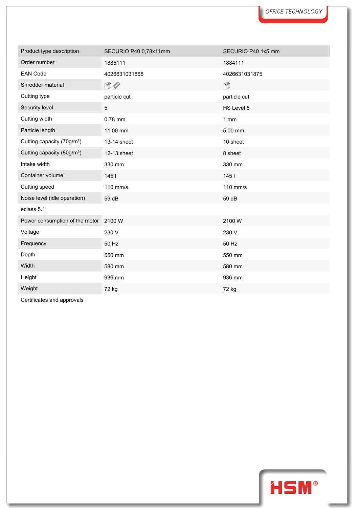| Product type description               | SECURIO P40 0,78x11mm | SECURIO P40 1x5 mm |  |
|----------------------------------------|-----------------------|--------------------|--|
| Order number                           | 1885111               | 1884111            |  |
| <b>EAN Code</b>                        | 4026631031868         | 4026631031875      |  |
| Shredder material                      | $\Box$                | Ñ                  |  |
| Cutting type                           | particle cut          | particle cut       |  |
| Security level                         | 5                     | HS Level 6         |  |
| Cutting width                          | 0.78 mm               | $1$ mm             |  |
| Particle length                        | 11,00 mm              | 5,00 mm            |  |
| Cutting capacity (70g/m <sup>2</sup> ) | 13-14 sheet           | 10 sheet           |  |
| Cutting capacity (80g/m <sup>2</sup> ) | 12-13 sheet           | 8 sheet            |  |
| Intake width                           | 330 mm                | 330 mm             |  |
| Container volume                       | 1451                  | 1451               |  |
| Cutting speed                          | 110 mm/s              | 110 mm/s           |  |
| Noise level (idle operation)           | 59 dB                 | 59 dB              |  |
| eclass 5.1                             |                       |                    |  |
| Power consumption of the motor         | 2100 W                | 2100W              |  |
| Voltage                                | 230 V                 | 230 V              |  |
| Frequency                              | 50 Hz                 | 50 Hz              |  |
| Depth                                  | 550 mm                | 550 mm             |  |
| Width                                  | 580 mm                | 580 mm             |  |
| Height                                 | 936 mm                | 936 mm             |  |
| Weight                                 | 72 kg                 | 72 kg              |  |

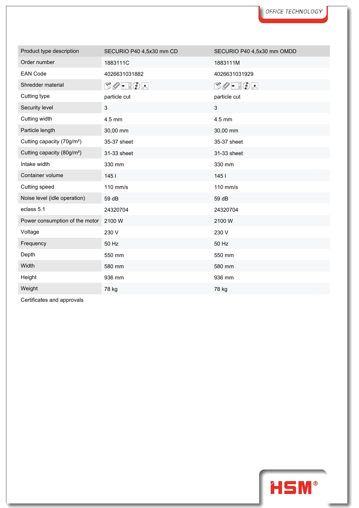| Product type description               | SECURIO P40 4,5x30 mm CD        | SECURIO P40 4,5x30 mm OMDD                                                                                                                                                                                                                                                                                                                          |  |
|----------------------------------------|---------------------------------|-----------------------------------------------------------------------------------------------------------------------------------------------------------------------------------------------------------------------------------------------------------------------------------------------------------------------------------------------------|--|
| Order number                           | 1883111C                        | 1883111M                                                                                                                                                                                                                                                                                                                                            |  |
| <b>EAN Code</b>                        | 4026631031882                   | 4026631031929                                                                                                                                                                                                                                                                                                                                       |  |
| Shredder material                      | $\mathbb{O}Q$ - $\mathbb{I}Q$ - | $\begin{picture}(15,10) \put(0,0){\line(1,0){10}} \put(15,0){\line(1,0){10}} \put(15,0){\line(1,0){10}} \put(15,0){\line(1,0){10}} \put(15,0){\line(1,0){10}} \put(15,0){\line(1,0){10}} \put(15,0){\line(1,0){10}} \put(15,0){\line(1,0){10}} \put(15,0){\line(1,0){10}} \put(15,0){\line(1,0){10}} \put(15,0){\line(1,0){10}} \put(15,0){\line(1$ |  |
| Cutting type                           | particle cut                    | particle cut                                                                                                                                                                                                                                                                                                                                        |  |
| Security level                         | 3                               | $\mathbf{3}$                                                                                                                                                                                                                                                                                                                                        |  |
| Cutting width                          | 4.5 mm                          | 4.5 mm                                                                                                                                                                                                                                                                                                                                              |  |
| Particle length                        | 30,00 mm                        | 30,00 mm                                                                                                                                                                                                                                                                                                                                            |  |
| Cutting capacity (70g/m <sup>2</sup> ) | 35-37 sheet                     | 35-37 sheet                                                                                                                                                                                                                                                                                                                                         |  |
| Cutting capacity (80g/m <sup>2</sup> ) | 31-33 sheet                     | 31-33 sheet                                                                                                                                                                                                                                                                                                                                         |  |
| Intake width                           | 330 mm                          | 330 mm                                                                                                                                                                                                                                                                                                                                              |  |
| Container volume                       | 1451                            | 1451                                                                                                                                                                                                                                                                                                                                                |  |
| Cutting speed                          | 110 mm/s                        | 110 mm/s                                                                                                                                                                                                                                                                                                                                            |  |
| Noise level (idle operation)           | 59 dB                           | 59 dB                                                                                                                                                                                                                                                                                                                                               |  |
| eclass 5.1                             | 24320704                        | 24320704                                                                                                                                                                                                                                                                                                                                            |  |
| Power consumption of the motor         | 2100W                           | 2100W                                                                                                                                                                                                                                                                                                                                               |  |
| Voltage                                | 230 V                           | 230 V                                                                                                                                                                                                                                                                                                                                               |  |
| Frequency                              | 50 Hz                           | 50 Hz                                                                                                                                                                                                                                                                                                                                               |  |
| Depth                                  | 550 mm                          | 550 mm                                                                                                                                                                                                                                                                                                                                              |  |
| Width                                  | 580 mm                          | 580 mm                                                                                                                                                                                                                                                                                                                                              |  |
| Height                                 | 936 mm                          | 936 mm                                                                                                                                                                                                                                                                                                                                              |  |
| Weight                                 | 78 kg                           | 78 kg                                                                                                                                                                                                                                                                                                                                               |  |

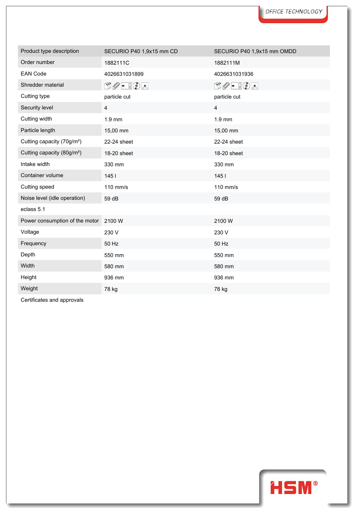| Product type description               | SECURIO P40 1,9x15 mm CD               | SECURIO P40 1,9x15 mm OMDD                                                                                                                                                                                                                                                                                                                          |  |
|----------------------------------------|----------------------------------------|-----------------------------------------------------------------------------------------------------------------------------------------------------------------------------------------------------------------------------------------------------------------------------------------------------------------------------------------------------|--|
| Order number                           | 1882111C                               | 1882111M                                                                                                                                                                                                                                                                                                                                            |  |
| <b>EAN Code</b>                        | 4026631031899                          | 4026631031936                                                                                                                                                                                                                                                                                                                                       |  |
| Shredder material                      | $\Box\oslash\bullet\ \Box\odot\bullet$ | $\begin{picture}(15,10) \put(0,0){\line(1,0){10}} \put(15,0){\line(1,0){10}} \put(15,0){\line(1,0){10}} \put(15,0){\line(1,0){10}} \put(15,0){\line(1,0){10}} \put(15,0){\line(1,0){10}} \put(15,0){\line(1,0){10}} \put(15,0){\line(1,0){10}} \put(15,0){\line(1,0){10}} \put(15,0){\line(1,0){10}} \put(15,0){\line(1,0){10}} \put(15,0){\line(1$ |  |
| Cutting type                           | particle cut                           | particle cut                                                                                                                                                                                                                                                                                                                                        |  |
| Security level                         | 4                                      | $\overline{4}$                                                                                                                                                                                                                                                                                                                                      |  |
| Cutting width                          | $1.9$ mm                               | 1.9 mm                                                                                                                                                                                                                                                                                                                                              |  |
| Particle length                        | 15,00 mm                               | 15,00 mm                                                                                                                                                                                                                                                                                                                                            |  |
| Cutting capacity (70g/m <sup>2</sup> ) | 22-24 sheet                            | 22-24 sheet                                                                                                                                                                                                                                                                                                                                         |  |
| Cutting capacity (80g/m <sup>2</sup> ) | 18-20 sheet                            | 18-20 sheet                                                                                                                                                                                                                                                                                                                                         |  |
| Intake width                           | 330 mm                                 | 330 mm                                                                                                                                                                                                                                                                                                                                              |  |
| Container volume                       | 1451                                   | 1451                                                                                                                                                                                                                                                                                                                                                |  |
| Cutting speed                          | 110 mm/s                               | 110 mm/s                                                                                                                                                                                                                                                                                                                                            |  |
| Noise level (idle operation)           | 59 dB                                  | 59 dB                                                                                                                                                                                                                                                                                                                                               |  |
| eclass 5.1                             |                                        |                                                                                                                                                                                                                                                                                                                                                     |  |
| Power consumption of the motor 2100 W  |                                        | 2100W                                                                                                                                                                                                                                                                                                                                               |  |
| Voltage                                | 230 V                                  | 230 V                                                                                                                                                                                                                                                                                                                                               |  |
| Frequency                              | 50 Hz                                  | 50 Hz                                                                                                                                                                                                                                                                                                                                               |  |
| Depth                                  | 550 mm                                 | 550 mm                                                                                                                                                                                                                                                                                                                                              |  |
| Width                                  | 580 mm                                 | 580 mm                                                                                                                                                                                                                                                                                                                                              |  |
| Height                                 | 936 mm                                 | 936 mm                                                                                                                                                                                                                                                                                                                                              |  |
| Weight                                 | 78 kg                                  | 78 kg                                                                                                                                                                                                                                                                                                                                               |  |

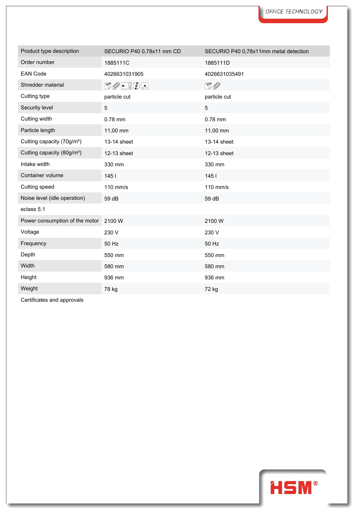| Product type description               | SECURIO P40 0,78x11 mm CD                                                                                                                                                                                                                                                                                                                           | SECURIO P40 0,78x11mm metal detection |
|----------------------------------------|-----------------------------------------------------------------------------------------------------------------------------------------------------------------------------------------------------------------------------------------------------------------------------------------------------------------------------------------------------|---------------------------------------|
| Order number                           | 1885111C                                                                                                                                                                                                                                                                                                                                            | 1885111D                              |
| <b>EAN Code</b>                        | 4026631031905                                                                                                                                                                                                                                                                                                                                       | 4026631035491                         |
| Shredder material                      | $\begin{picture}(15,14) \put(0,0){\line(1,0){15}} \put(15,0){\line(1,0){15}} \put(15,0){\line(1,0){15}} \put(15,0){\line(1,0){15}} \put(15,0){\line(1,0){15}} \put(15,0){\line(1,0){15}} \put(15,0){\line(1,0){15}} \put(15,0){\line(1,0){15}} \put(15,0){\line(1,0){15}} \put(15,0){\line(1,0){15}} \put(15,0){\line(1,0){15}} \put(15,0){\line(1$ | $\square$                             |
| Cutting type                           | particle cut                                                                                                                                                                                                                                                                                                                                        | particle cut                          |
| Security level                         | 5                                                                                                                                                                                                                                                                                                                                                   | 5                                     |
| Cutting width                          | 0.78 mm                                                                                                                                                                                                                                                                                                                                             | 0.78 mm                               |
| Particle length                        | 11,00 mm                                                                                                                                                                                                                                                                                                                                            | 11,00 mm                              |
| Cutting capacity (70g/m <sup>2</sup> ) | 13-14 sheet                                                                                                                                                                                                                                                                                                                                         | 13-14 sheet                           |
| Cutting capacity (80g/m <sup>2</sup> ) | 12-13 sheet                                                                                                                                                                                                                                                                                                                                         | 12-13 sheet                           |
| Intake width                           | 330 mm                                                                                                                                                                                                                                                                                                                                              | 330 mm                                |
| Container volume                       | 1451                                                                                                                                                                                                                                                                                                                                                | 145l                                  |
| Cutting speed                          | 110 mm/s                                                                                                                                                                                                                                                                                                                                            | 110 mm/s                              |
| Noise level (idle operation)           | 59 dB                                                                                                                                                                                                                                                                                                                                               | 59 dB                                 |
| eclass 5.1                             |                                                                                                                                                                                                                                                                                                                                                     |                                       |
| Power consumption of the motor 2100 W  |                                                                                                                                                                                                                                                                                                                                                     | 2100W                                 |
| Voltage                                | 230 V                                                                                                                                                                                                                                                                                                                                               | 230 V                                 |
| Frequency                              | 50 Hz                                                                                                                                                                                                                                                                                                                                               | 50 Hz                                 |
| Depth                                  | 550 mm                                                                                                                                                                                                                                                                                                                                              | 550 mm                                |
| Width                                  | 580 mm                                                                                                                                                                                                                                                                                                                                              | 580 mm                                |
| Height                                 | 936 mm                                                                                                                                                                                                                                                                                                                                              | 936 mm                                |
| Weight                                 | 78 kg                                                                                                                                                                                                                                                                                                                                               | 72 kg                                 |

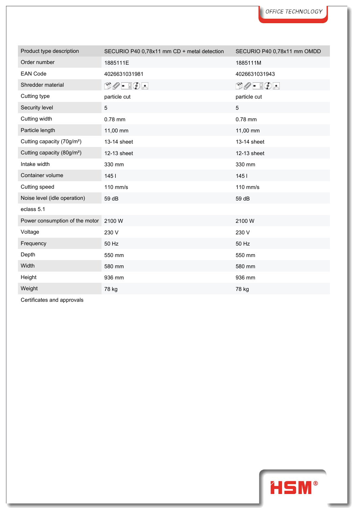| Product type description               | SECURIO P40 0,78x11 mm CD + metal detection                                                                                                                                                                                                                                                                                                         | SECURIO P40 0,78x11 mm OMDD                                                                                                                                                                                                                                                                                                                         |  |
|----------------------------------------|-----------------------------------------------------------------------------------------------------------------------------------------------------------------------------------------------------------------------------------------------------------------------------------------------------------------------------------------------------|-----------------------------------------------------------------------------------------------------------------------------------------------------------------------------------------------------------------------------------------------------------------------------------------------------------------------------------------------------|--|
| Order number                           | 1885111E                                                                                                                                                                                                                                                                                                                                            | 1885111M                                                                                                                                                                                                                                                                                                                                            |  |
| <b>EAN Code</b>                        | 4026631031981                                                                                                                                                                                                                                                                                                                                       | 4026631031943                                                                                                                                                                                                                                                                                                                                       |  |
| Shredder material                      | $\begin{picture}(15,10) \put(0,0){\line(1,0){10}} \put(15,0){\line(1,0){10}} \put(15,0){\line(1,0){10}} \put(15,0){\line(1,0){10}} \put(15,0){\line(1,0){10}} \put(15,0){\line(1,0){10}} \put(15,0){\line(1,0){10}} \put(15,0){\line(1,0){10}} \put(15,0){\line(1,0){10}} \put(15,0){\line(1,0){10}} \put(15,0){\line(1,0){10}} \put(15,0){\line(1$ | $\begin{picture}(15,14) \put(0,0){\line(1,0){15}} \put(15,0){\line(1,0){15}} \put(15,0){\line(1,0){15}} \put(15,0){\line(1,0){15}} \put(15,0){\line(1,0){15}} \put(15,0){\line(1,0){15}} \put(15,0){\line(1,0){15}} \put(15,0){\line(1,0){15}} \put(15,0){\line(1,0){15}} \put(15,0){\line(1,0){15}} \put(15,0){\line(1,0){15}} \put(15,0){\line(1$ |  |
| Cutting type                           | particle cut                                                                                                                                                                                                                                                                                                                                        | particle cut                                                                                                                                                                                                                                                                                                                                        |  |
| Security level                         | $5\phantom{.0}$                                                                                                                                                                                                                                                                                                                                     | 5                                                                                                                                                                                                                                                                                                                                                   |  |
| Cutting width                          | 0.78 mm                                                                                                                                                                                                                                                                                                                                             | 0.78 mm                                                                                                                                                                                                                                                                                                                                             |  |
| Particle length                        | 11,00 mm                                                                                                                                                                                                                                                                                                                                            | 11,00 mm                                                                                                                                                                                                                                                                                                                                            |  |
| Cutting capacity (70g/m <sup>2</sup> ) | 13-14 sheet                                                                                                                                                                                                                                                                                                                                         | 13-14 sheet                                                                                                                                                                                                                                                                                                                                         |  |
| Cutting capacity (80g/m <sup>2</sup> ) | 12-13 sheet                                                                                                                                                                                                                                                                                                                                         | 12-13 sheet                                                                                                                                                                                                                                                                                                                                         |  |
| Intake width                           | 330 mm                                                                                                                                                                                                                                                                                                                                              | 330 mm                                                                                                                                                                                                                                                                                                                                              |  |
| Container volume                       | 1451                                                                                                                                                                                                                                                                                                                                                | 1451                                                                                                                                                                                                                                                                                                                                                |  |
| Cutting speed                          | 110 mm/s                                                                                                                                                                                                                                                                                                                                            | 110 mm/s                                                                                                                                                                                                                                                                                                                                            |  |
| Noise level (idle operation)           | 59 dB                                                                                                                                                                                                                                                                                                                                               | 59 dB                                                                                                                                                                                                                                                                                                                                               |  |
| eclass 5.1                             |                                                                                                                                                                                                                                                                                                                                                     |                                                                                                                                                                                                                                                                                                                                                     |  |
| Power consumption of the motor 2100 W  |                                                                                                                                                                                                                                                                                                                                                     | 2100W                                                                                                                                                                                                                                                                                                                                               |  |
| Voltage                                | 230 V                                                                                                                                                                                                                                                                                                                                               | 230 V                                                                                                                                                                                                                                                                                                                                               |  |
| Frequency                              | 50 Hz                                                                                                                                                                                                                                                                                                                                               | 50 Hz                                                                                                                                                                                                                                                                                                                                               |  |
| Depth                                  | 550 mm                                                                                                                                                                                                                                                                                                                                              | 550 mm                                                                                                                                                                                                                                                                                                                                              |  |
| Width                                  | 580 mm                                                                                                                                                                                                                                                                                                                                              | 580 mm                                                                                                                                                                                                                                                                                                                                              |  |
| Height                                 | 936 mm                                                                                                                                                                                                                                                                                                                                              | 936 mm                                                                                                                                                                                                                                                                                                                                              |  |
| Weight                                 | 78 kg                                                                                                                                                                                                                                                                                                                                               | 78 kg                                                                                                                                                                                                                                                                                                                                               |  |

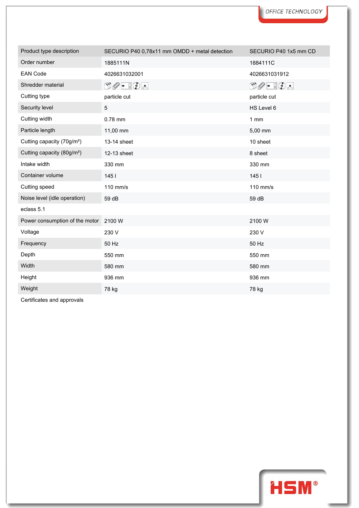| Product type description               | SECURIO P40 0,78x11 mm OMDD + metal detection                                                                                                                                                                                                                                                                                                       | SECURIO P40 1x5 mm CD                                                                                                                                                                                                                                                                                                                               |
|----------------------------------------|-----------------------------------------------------------------------------------------------------------------------------------------------------------------------------------------------------------------------------------------------------------------------------------------------------------------------------------------------------|-----------------------------------------------------------------------------------------------------------------------------------------------------------------------------------------------------------------------------------------------------------------------------------------------------------------------------------------------------|
| Order number                           | 1885111N                                                                                                                                                                                                                                                                                                                                            | 1884111C                                                                                                                                                                                                                                                                                                                                            |
| <b>EAN Code</b>                        | 4026631032001                                                                                                                                                                                                                                                                                                                                       | 4026631031912                                                                                                                                                                                                                                                                                                                                       |
| Shredder material                      | $\begin{picture}(15,14) \put(0,0){\line(1,0){15}} \put(15,0){\line(1,0){15}} \put(15,0){\line(1,0){15}} \put(15,0){\line(1,0){15}} \put(15,0){\line(1,0){15}} \put(15,0){\line(1,0){15}} \put(15,0){\line(1,0){15}} \put(15,0){\line(1,0){15}} \put(15,0){\line(1,0){15}} \put(15,0){\line(1,0){15}} \put(15,0){\line(1,0){15}} \put(15,0){\line(1$ | $\begin{picture}(15,10) \put(0,0){\line(1,0){10}} \put(15,0){\line(1,0){10}} \put(15,0){\line(1,0){10}} \put(15,0){\line(1,0){10}} \put(15,0){\line(1,0){10}} \put(15,0){\line(1,0){10}} \put(15,0){\line(1,0){10}} \put(15,0){\line(1,0){10}} \put(15,0){\line(1,0){10}} \put(15,0){\line(1,0){10}} \put(15,0){\line(1,0){10}} \put(15,0){\line(1$ |
| Cutting type                           | particle cut                                                                                                                                                                                                                                                                                                                                        | particle cut                                                                                                                                                                                                                                                                                                                                        |
| Security level                         | 5                                                                                                                                                                                                                                                                                                                                                   | HS Level 6                                                                                                                                                                                                                                                                                                                                          |
| Cutting width                          | 0.78 mm                                                                                                                                                                                                                                                                                                                                             | 1mm                                                                                                                                                                                                                                                                                                                                                 |
| Particle length                        | 11,00 mm                                                                                                                                                                                                                                                                                                                                            | 5,00 mm                                                                                                                                                                                                                                                                                                                                             |
| Cutting capacity (70g/m <sup>2</sup> ) | 13-14 sheet                                                                                                                                                                                                                                                                                                                                         | 10 sheet                                                                                                                                                                                                                                                                                                                                            |
| Cutting capacity (80g/m <sup>2</sup> ) | 12-13 sheet                                                                                                                                                                                                                                                                                                                                         | 8 sheet                                                                                                                                                                                                                                                                                                                                             |
| Intake width                           | 330 mm                                                                                                                                                                                                                                                                                                                                              | 330 mm                                                                                                                                                                                                                                                                                                                                              |
| Container volume                       | 1451                                                                                                                                                                                                                                                                                                                                                | 1451                                                                                                                                                                                                                                                                                                                                                |
| Cutting speed                          | 110 mm/s                                                                                                                                                                                                                                                                                                                                            | 110 mm/s                                                                                                                                                                                                                                                                                                                                            |
| Noise level (idle operation)           | 59 dB                                                                                                                                                                                                                                                                                                                                               | 59 dB                                                                                                                                                                                                                                                                                                                                               |
| eclass 5.1                             |                                                                                                                                                                                                                                                                                                                                                     |                                                                                                                                                                                                                                                                                                                                                     |
| Power consumption of the motor 2100 W  |                                                                                                                                                                                                                                                                                                                                                     | 2100W                                                                                                                                                                                                                                                                                                                                               |
| Voltage                                | 230 V                                                                                                                                                                                                                                                                                                                                               | 230 V                                                                                                                                                                                                                                                                                                                                               |
| Frequency                              | 50 Hz                                                                                                                                                                                                                                                                                                                                               | 50 Hz                                                                                                                                                                                                                                                                                                                                               |
| Depth                                  | 550 mm                                                                                                                                                                                                                                                                                                                                              | 550 mm                                                                                                                                                                                                                                                                                                                                              |
| Width                                  | 580 mm                                                                                                                                                                                                                                                                                                                                              | 580 mm                                                                                                                                                                                                                                                                                                                                              |
| Height                                 | 936 mm                                                                                                                                                                                                                                                                                                                                              | 936 mm                                                                                                                                                                                                                                                                                                                                              |
| Weight                                 | 78 kg                                                                                                                                                                                                                                                                                                                                               | 78 kg                                                                                                                                                                                                                                                                                                                                               |

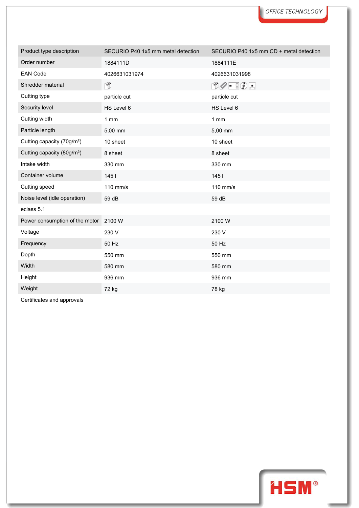| Product type description               | SECURIO P40 1x5 mm metal detection | SECURIO P40 1x5 mm CD + metal detection |
|----------------------------------------|------------------------------------|-----------------------------------------|
| Order number                           | 1884111D                           | 1884111E                                |
| <b>EAN Code</b>                        | 4026631031974                      | 4026631031998                           |
| Shredder material                      | É.                                 | $\Box \oslash \cdot \ \Box \odot \cdot$ |
| Cutting type                           | particle cut                       | particle cut                            |
| Security level                         | HS Level 6                         | HS Level 6                              |
| Cutting width                          | 1 mm                               | $1$ mm                                  |
| Particle length                        | 5,00 mm                            | 5,00 mm                                 |
| Cutting capacity (70g/m <sup>2</sup> ) | 10 sheet                           | 10 sheet                                |
| Cutting capacity (80g/m <sup>2</sup> ) | 8 sheet                            | 8 sheet                                 |
| Intake width                           | 330 mm                             | 330 mm                                  |
| Container volume                       | 1451                               | 1451                                    |
| Cutting speed                          | 110 mm/s                           | 110 mm/s                                |
| Noise level (idle operation)           | 59 dB                              | 59 dB                                   |
| eclass 5.1                             |                                    |                                         |
| Power consumption of the motor 2100 W  |                                    | 2100W                                   |
| Voltage                                | 230 V                              | 230 V                                   |
| Frequency                              | 50 Hz                              | 50 Hz                                   |
| Depth                                  | 550 mm                             | 550 mm                                  |
| Width                                  | 580 mm                             | 580 mm                                  |
| Height                                 | 936 mm                             | 936 mm                                  |
| Weight                                 | 72 kg                              | 78 kg                                   |